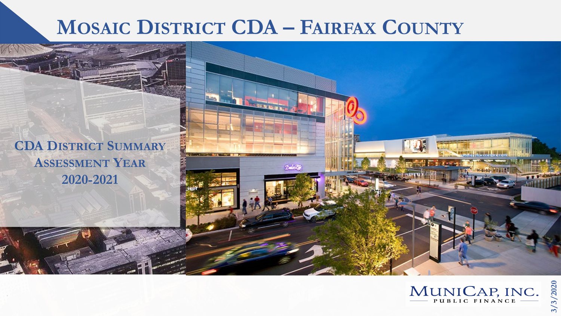# **MOSAIC DISTRICT CDA – FAIRFAX COUNTY**

 $2 - 3$ 

**CDA DISTRICT SUMMARY ASSESSMENT YEAR 2020-2021**

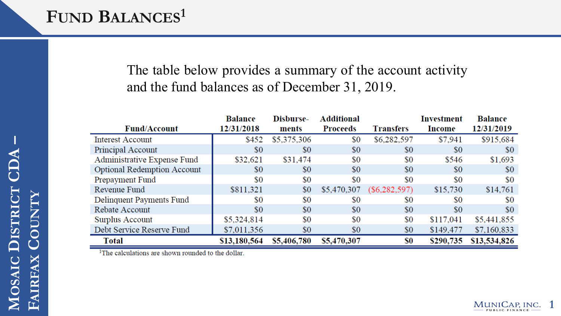## FUND **BALANCES<sup>1</sup>**

### The table below provides a summary of the account activity and the fund balances as of December 31, 2019.

| <b>Balance</b> | Disburse-   | <b>Additional</b> |                  | <b>Investment</b> | <b>Balance</b> |
|----------------|-------------|-------------------|------------------|-------------------|----------------|
| 12/31/2018     | ments       | <b>Proceeds</b>   | <b>Transfers</b> | Income            | 12/31/2019     |
| \$452          | \$5,375,306 | \$0               | \$6,282,597      | \$7,941           | \$915,684      |
| \$0            | \$0         | \$0               | \$0              | \$0               | \$0            |
| \$32,621       | \$31,474    | \$0               | \$0              | \$546             | \$1,693        |
| \$0            | \$0         | \$0               | \$0              | \$0               | \$0            |
| \$0            | \$0         | \$0               | \$0              | \$0               | \$0            |
| \$811,321      | \$0         | \$5,470,307       | $(\$6,282,597)$  | \$15,730          | \$14,761       |
| \$0            | \$0         | \$0               | \$0              | \$0               | \$0            |
| $\$0$          | \$0         | \$0               | \$0              | \$0               | \$0            |
| \$5,324,814    | \$0         | \$0               | \$0              | \$117,041         | \$5,441,855    |
| \$7,011,356    | \$0         | \$0               | \$0              | \$149,477         | \$7,160,833    |
| \$13,180,564   | \$5,406,780 | \$5,470,307       | \$0              | \$290,735         | \$13,534,826   |
|                |             |                   |                  |                   |                |

<sup>1</sup>The calculations are shown rounded to the dollar.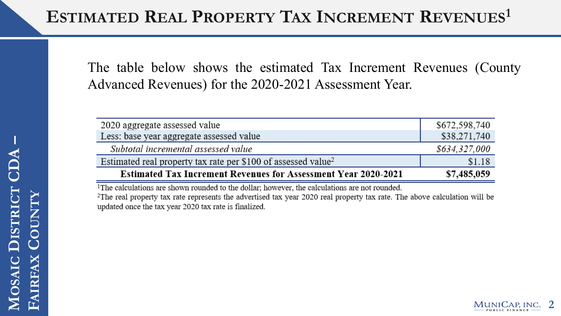The table below shows the estimated Tax Increment Revenues (County Advanced Revenues) for the 2020-2021 Assessment Year.

| 2020 aggregate assessed value                                             | \$672,598,740 |
|---------------------------------------------------------------------------|---------------|
| Less: base year aggregate assessed value                                  | \$38,271,740  |
| Subtotal incremental assessed value                                       | \$634,327,000 |
| Estimated real property tax rate per \$100 of assessed value <sup>2</sup> | \$1.18        |
| <b>Estimated Tax Increment Revenues for Assessment Year 2020-2021</b>     | \$7,485,059   |

<sup>1</sup>The calculations are shown rounded to the dollar; however, the calculations are not rounded. <sup>2</sup>The real property tax rate represents the advertised tax year 2020 real property tax rate. The above calculation will be updated once the tax year 2020 tax rate is finalized.

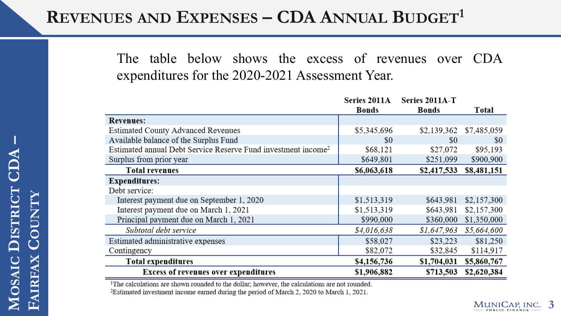## **REVENUES AND EXPENSES – CDA ANNUAL BUDGET1**

The table below shows the excess of revenues over CDA expenditures for the 2020-2021 Assessment Year.

|                                                                           | Series 2011A | Series 2011A-T |             |
|---------------------------------------------------------------------------|--------------|----------------|-------------|
|                                                                           | <b>Bonds</b> | Bonds          | Total       |
| <b>Revenues:</b>                                                          |              |                |             |
| <b>Estimated County Advanced Revenues</b>                                 | \$5,345,696  | \$2,139,362    | \$7,485,059 |
| Available balance of the Surplus Fund                                     | \$0          | \$0            | \$0         |
| Estimated annual Debt Service Reserve Fund investment income <sup>2</sup> | \$68,121     | \$27,072       | \$95,193    |
| Surplus from prior year                                                   | \$649,801    | \$251,099      | \$900,900   |
| <b>Total revenues</b>                                                     | \$6,063,618  | \$2,417,533    | \$8,481,151 |
| <b>Expenditures:</b>                                                      |              |                |             |
| Debt service:                                                             |              |                |             |
| Interest payment due on September 1, 2020                                 | \$1,513,319  | \$643,981      | \$2,157,300 |
| Interest payment due on March 1, 2021                                     | \$1,513,319  | \$643,981      | \$2,157,300 |
| Principal payment due on March 1, 2021                                    | \$990,000    | \$360,000      | \$1,350,000 |
| Subtotal debt service                                                     | \$4,016,638  | \$1,647,963    | \$5,664,600 |
| Estimated administrative expenses                                         | \$58,027     | \$23,223       | \$81,250    |
| Contingency                                                               | \$82,072     | \$32,845       | \$114,917   |
| <b>Total expenditures</b>                                                 | \$4,156,736  | \$1,704,031    | \$5,860,767 |
| <b>Excess of revenues over expenditures</b>                               | \$1,906,882  | \$713,503      | \$2,620,384 |

<sup>1</sup>The calculations are shown rounded to the dollar; however, the calculations are not rounded.

<sup>2</sup>Estimated investment income earned during the period of March 2, 2020 to March 1, 2021.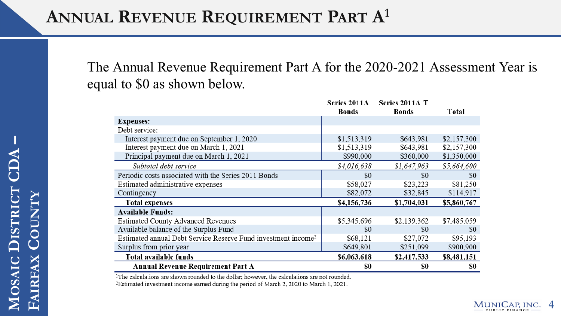The Annual Revenue Requirement Part A for the 2020-2021 Assessment Year is equal to \$0 as shown below.

|                                                                           | Series 2011A | Series 2011A-T |             |
|---------------------------------------------------------------------------|--------------|----------------|-------------|
|                                                                           | <b>Bonds</b> | <b>Bonds</b>   | Total       |
| <b>Expenses:</b>                                                          |              |                |             |
| Debt service:                                                             |              |                |             |
| Interest payment due on September 1, 2020                                 | \$1,513,319  | \$643,981      | \$2,157,300 |
| Interest payment due on March 1, 2021                                     | \$1,513,319  | \$643,981      | \$2,157,300 |
| Principal payment due on March 1, 2021                                    | \$990,000    | \$360,000      | \$1,350,000 |
| Subtotal debt service                                                     | \$4,016,638  | \$1,647,963    | \$5,664,600 |
| Periodic costs associated with the Series 2011 Bonds                      | \$0          | \$0            | \$0         |
| Estimated administrative expenses                                         | \$58,027     | \$23,223       | \$81,250    |
| Contingency                                                               | \$82,072     | \$32,845       | \$114,917   |
| <b>Total expenses</b>                                                     | \$4,156,736  | \$1,704,031    | \$5,860,767 |
| <b>Available Funds:</b>                                                   |              |                |             |
| <b>Estimated County Advanced Revenues</b>                                 | \$5,345,696  | \$2,139,362    | \$7,485,059 |
| Available balance of the Surplus Fund                                     | \$0          | \$0            | \$0         |
| Estimated annual Debt Service Reserve Fund investment income <sup>2</sup> | \$68,121     | \$27,072       | \$95,193    |
| Surplus from prior year                                                   | \$649,801    | \$251,099      | \$900,900   |
| Total available funds                                                     | \$6,063,618  | \$2,417,533    | \$8,481,151 |
| Annual Revenue Requirement Part A                                         | \$0          | \$0            | \$0         |

<sup>1</sup>The calculations are shown rounded to the dollar; however, the calculations are not rounded.

<sup>2</sup>Estimated investment income earned during the period of March 2, 2020 to March 1, 2021.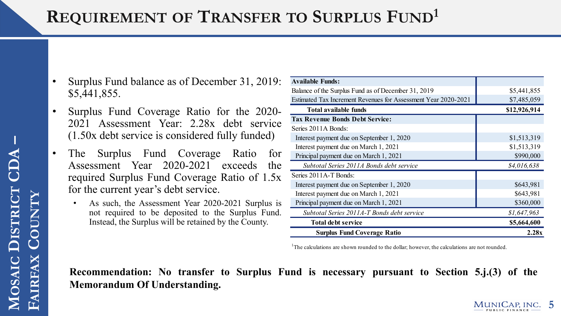# **REQUIREMENT OF TRANSFER TO SURPLUS FUND1**

- Surplus Fund balance as of December 31, 2019: \$5,441,855.
- Surplus Fund Coverage Ratio for the 2020- 2021 Assessment Year: 2.28x debt service (1.50x debt service is considered fully funded)
- The Surplus Fund Coverage Ratio for Assessment Year 2020-2021 exceeds the required Surplus Fund Coverage Ratio of 1.5x for the current year's debt service.
	- As such, the Assessment Year 2020-2021 Surplus is not required to be deposited to the Surplus Fund. Instead, the Surplus will be retained by the County.

| <b>Available Funds:</b>                                        |              |
|----------------------------------------------------------------|--------------|
| Balance of the Surplus Fund as of December 31, 2019            | \$5,441,855  |
| Estimated Tax Increment Revenues for Assessment Year 2020-2021 | \$7,485,059  |
| <b>Total available funds</b>                                   | \$12,926,914 |
| <b>Tax Revenue Bonds Debt Service:</b>                         |              |
| Series 2011A Bonds:                                            |              |
| Interest payment due on September 1, 2020                      | \$1,513,319  |
| Interest payment due on March 1, 2021                          | \$1,513,319  |
| Principal payment due on March 1, 2021                         | \$990,000    |
| Subtotal Series 2011A Bonds debt service                       | \$4,016,638  |
| Series 2011A-T Bonds:                                          |              |
| Interest payment due on September 1, 2020                      | \$643,981    |
| Interest payment due on March 1, 2021                          | \$643,981    |
| Principal payment due on March 1, 2021                         | \$360,000    |
| Subtotal Series 2011A-T Bonds debt service                     | \$1,647,963  |
| <b>Total debt service</b>                                      | \$5,664,600  |
| <b>Surplus Fund Coverage Ratio</b>                             | 2.28x        |

<sup>1</sup>The calculations are shown rounded to the dollar; however, the calculations are not rounded.

#### **Recommendation: No transfer to Surplus Fund is necessary pursuant to Section 5.j.(3) of the Memorandum Of Understanding.**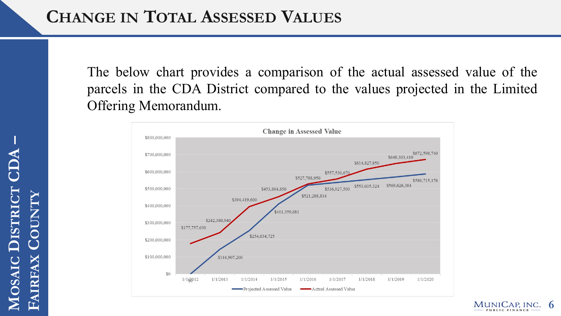The below chart provides a comparison of the actual assessed value of the parcels in the CDA District compared to the values projected in the Limited Offering Memorandum.



**6**

MUNICAP, INC. PUBLIC FINANCE

**MOSAIC DISTRICT**<br>FAIRFAX COUNTY **DISTRICT CDA FAIRFAX COUNTY**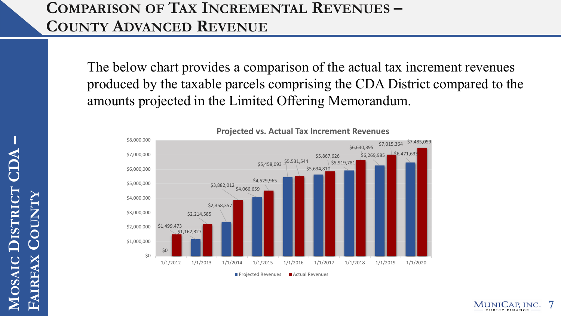### **COMPARISON OF TAX INCREMENTAL REVENUES – COUNTY ADVANCED REVENUE**

The below chart provides a comparison of the actual tax increment revenues produced by the taxable parcels comprising the CDA District compared to the amounts projected in the Limited Offering Memorandum.



**Projected vs. Actual Tax Increment Revenues**

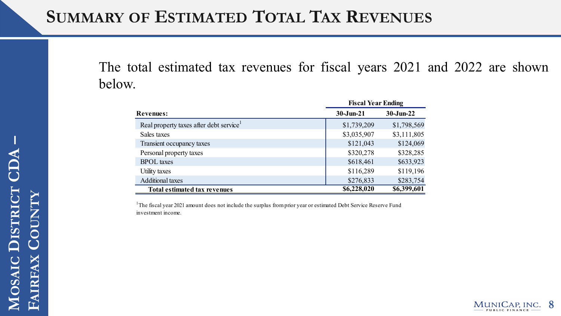## **SUMMARY OF ESTIMATED TOTAL TAX REVENUES**

The total estimated tax revenues for fiscal years 2021 and 2022 are shown below.

|                                        | <b>Fiscal Year Ending</b> |              |  |
|----------------------------------------|---------------------------|--------------|--|
| <b>Revenues:</b>                       | $30 - Jun-21$             | $30$ -Jun-22 |  |
| Real property taxes after debt service | \$1,739,209               | \$1,798,569  |  |
| Sales taxes                            | \$3,035,907               | \$3,111,805  |  |
| Transient occupancy taxes              | \$121,043                 | \$124,069    |  |
| Personal property taxes                | \$320,278                 | \$328,285    |  |
| <b>BPOL</b> taxes                      | \$618,461                 | \$633,923    |  |
| Utility taxes                          | \$116,289                 | \$119,196    |  |
| <b>Additional taxes</b>                | \$276,833                 | \$283,754    |  |
| <b>Total estimated tax revenues</b>    | \$6,228,020               | \$6,399,601  |  |

<sup>1</sup>The fiscal year 2021 amount does not include the surplus from prior year or estimated Debt Service Reserve Fund investment income.

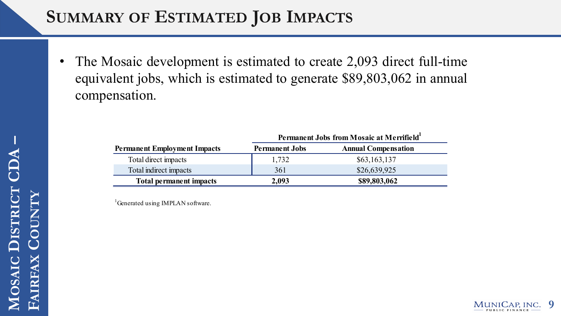## **SUMMARY OF ESTIMATED JOB IMPACTS**

• The Mosaic development is estimated to create 2,093 direct full-time equivalent jobs, which is estimated to generate \$89,803,062 in annual compensation.

|                                     | Permanent Jobs from Mosaic at Merrifield <sup>1</sup> |                            |  |
|-------------------------------------|-------------------------------------------------------|----------------------------|--|
| <b>Permanent Employment Impacts</b> | <b>Permanent Jobs</b>                                 | <b>Annual Compensation</b> |  |
| Total direct impacts                | 1,732                                                 | \$63,163,137               |  |
| Total indirect impacts              | 361                                                   | \$26,639,925               |  |
| <b>Total permanent impacts</b>      | 2,093                                                 | \$89,803,062               |  |

<sup>1</sup>Generated using IMPLAN software.